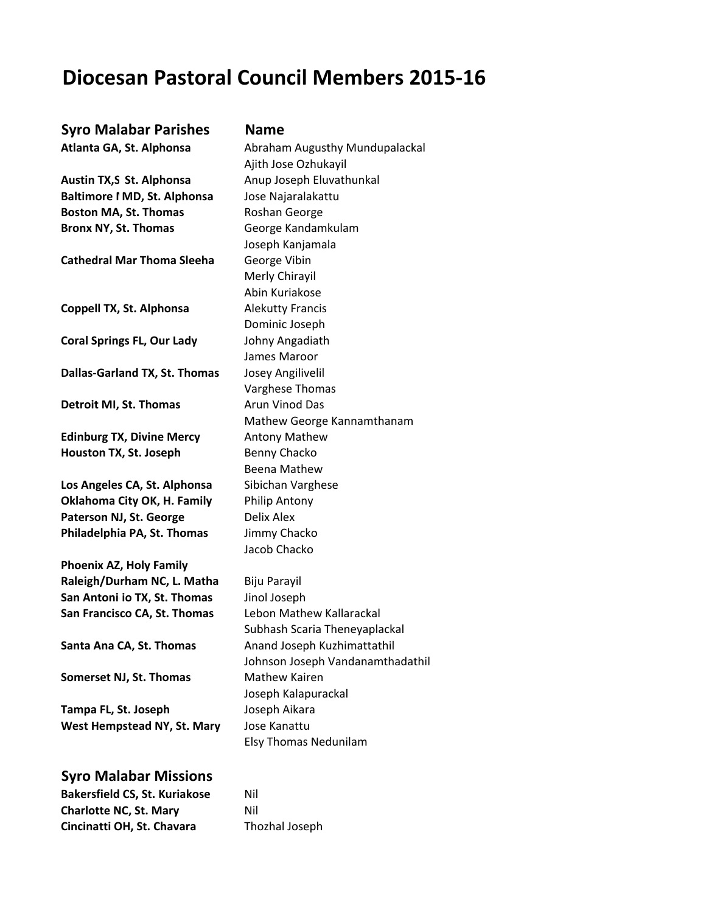# **Diocesan Pastoral Council Members 2015-16**

| <b>Syro Malabar Parishes</b>         | <b>Name</b>                      |
|--------------------------------------|----------------------------------|
| Atlanta GA, St. Alphonsa             | Abraham Augusthy Mundupalackal   |
|                                      | Ajith Jose Ozhukayil             |
| Austin TX,S St. Alphonsa             | Anup Joseph Eluvathunkal         |
| Baltimore I MD, St. Alphonsa         | Jose Najaralakattu               |
| <b>Boston MA, St. Thomas</b>         | Roshan George                    |
| <b>Bronx NY, St. Thomas</b>          | George Kandamkulam               |
|                                      | Joseph Kanjamala                 |
| <b>Cathedral Mar Thoma Sleeha</b>    | George Vibin                     |
|                                      | Merly Chirayil                   |
|                                      | Abin Kuriakose                   |
| Coppell TX, St. Alphonsa             | <b>Alekutty Francis</b>          |
|                                      | Dominic Joseph                   |
| <b>Coral Springs FL, Our Lady</b>    | Johny Angadiath                  |
|                                      | James Maroor                     |
| Dallas-Garland TX, St. Thomas        | Josey Angilivelil                |
|                                      | Varghese Thomas                  |
| <b>Detroit MI, St. Thomas</b>        | Arun Vinod Das                   |
|                                      | Mathew George Kannamthanam       |
| <b>Edinburg TX, Divine Mercy</b>     | <b>Antony Mathew</b>             |
| Houston TX, St. Joseph               | Benny Chacko                     |
|                                      | Beena Mathew                     |
| Los Angeles CA, St. Alphonsa         | Sibichan Varghese                |
| Oklahoma City OK, H. Family          | Philip Antony                    |
| Paterson NJ, St. George              | Delix Alex                       |
| Philadelphia PA, St. Thomas          | Jimmy Chacko                     |
|                                      | Jacob Chacko                     |
| <b>Phoenix AZ, Holy Family</b>       |                                  |
| Raleigh/Durham NC, L. Matha          | Biju Parayil                     |
| San Antoni io TX, St. Thomas         | Jinol Joseph                     |
| San Francisco CA, St. Thomas         | Lebon Mathew Kallarackal         |
|                                      | Subhash Scaria Theneyaplackal    |
| Santa Ana CA, St. Thomas             | Anand Joseph Kuzhimattathil      |
|                                      | Johnson Joseph Vandanamthadathil |
| Somerset NJ, St. Thomas              | <b>Mathew Kairen</b>             |
|                                      | Joseph Kalapurackal              |
| Tampa FL, St. Joseph                 | Joseph Aikara                    |
| West Hempstead NY, St. Mary          | Jose Kanattu                     |
|                                      | <b>Elsy Thomas Nedunilam</b>     |
| <b>Syro Malabar Missions</b>         |                                  |
| <b>Bakersfield CS, St. Kuriakose</b> | Nil                              |
|                                      | Nil                              |
| <b>Charlotte NC, St. Mary</b>        |                                  |

**Cincinatti OH, St. Chavara** Thozhal Joseph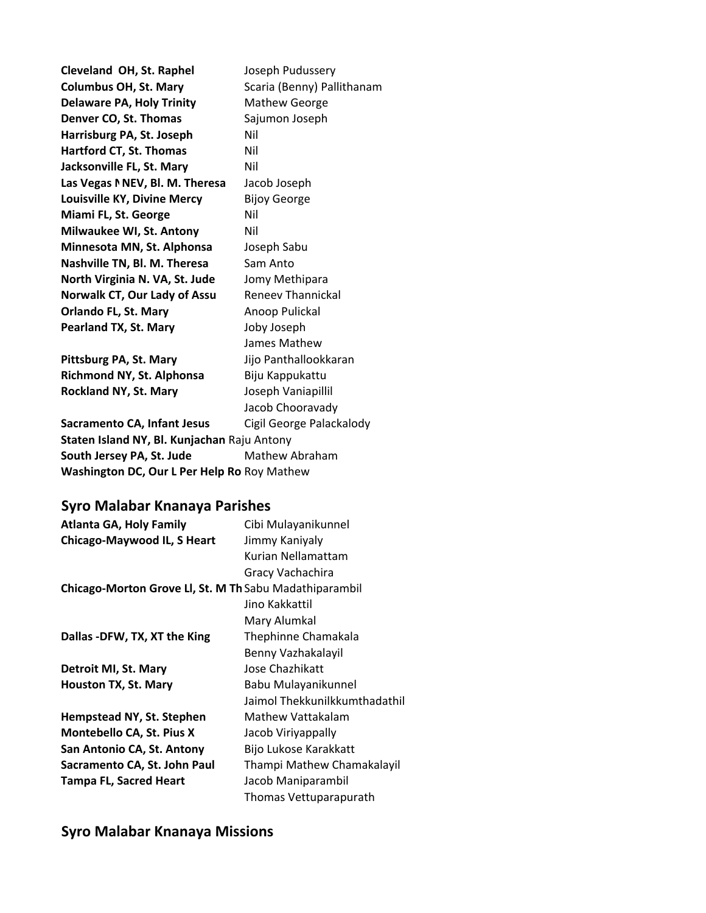| Cleveland OH, St. Raphel                    | Joseph Pudussery           |  |
|---------------------------------------------|----------------------------|--|
| <b>Columbus OH, St. Mary</b>                | Scaria (Benny) Pallithanam |  |
| <b>Delaware PA, Holy Trinity</b>            | <b>Mathew George</b>       |  |
| Denver CO, St. Thomas                       | Sajumon Joseph             |  |
| Harrisburg PA, St. Joseph                   | Nil                        |  |
| Hartford CT, St. Thomas                     | Nil                        |  |
| Jacksonville FL, St. Mary                   | Nil                        |  |
| Las Vegas NNEV, Bl. M. Theresa              | Jacob Joseph               |  |
| Louisville KY, Divine Mercy                 | <b>Bijoy George</b>        |  |
| Miami FL, St. George                        | Nil                        |  |
| Milwaukee WI, St. Antony                    | Nil                        |  |
| Minnesota MN, St. Alphonsa                  | Joseph Sabu                |  |
| Nashville TN, Bl. M. Theresa                | Sam Anto                   |  |
| North Virginia N. VA, St. Jude              | Jomy Methipara             |  |
| Norwalk CT, Our Lady of Assu                | Reneev Thannickal          |  |
| <b>Orlando FL, St. Mary</b>                 | Anoop Pulickal             |  |
| <b>Pearland TX, St. Mary</b>                | Joby Joseph                |  |
|                                             | James Mathew               |  |
| Pittsburg PA, St. Mary                      | Jijo Panthallookkaran      |  |
| Richmond NY, St. Alphonsa                   | Biju Kappukattu            |  |
| Rockland NY, St. Mary                       | Joseph Vaniapillil         |  |
|                                             | Jacob Chooravady           |  |
| <b>Sacramento CA, Infant Jesus</b>          | Cigil George Palackalody   |  |
| Staten Island NY, Bl. Kunjachan Raju Antony |                            |  |
| South Jersey PA, St. Jude                   | Mathew Abraham             |  |
| Washington DC, Our L Per Help Ro Roy Mathew |                            |  |

## **Syro Malabar Knanaya Parishes**

| <b>Atlanta GA, Holy Family</b>                         | Cibi Mulayanikunnel           |
|--------------------------------------------------------|-------------------------------|
| <b>Chicago-Maywood IL, S Heart</b>                     | Jimmy Kaniyaly                |
|                                                        | Kurian Nellamattam            |
|                                                        | Gracy Vachachira              |
| Chicago-Morton Grove Ll, St. M Th Sabu Madathiparambil |                               |
|                                                        | Jino Kakkattil                |
|                                                        | Mary Alumkal                  |
| Dallas -DFW, TX, XT the King                           | Thephinne Chamakala           |
|                                                        | Benny Vazhakalayil            |
| Detroit MI, St. Mary                                   | Jose Chazhikatt               |
| Houston TX, St. Mary                                   | Babu Mulayanikunnel           |
|                                                        | Jaimol Thekkunilkkumthadathil |
| Hempstead NY, St. Stephen                              | Mathew Vattakalam             |
| Montebello CA, St. Pius X                              | Jacob Viriyappally            |
| San Antonio CA, St. Antony                             | Bijo Lukose Karakkatt         |
| Sacramento CA, St. John Paul                           | Thampi Mathew Chamakalayil    |
| Tampa FL, Sacred Heart                                 | Jacob Maniparambil            |
|                                                        | Thomas Vettuparapurath        |

## **Syro Malabar Knanaya Missions**